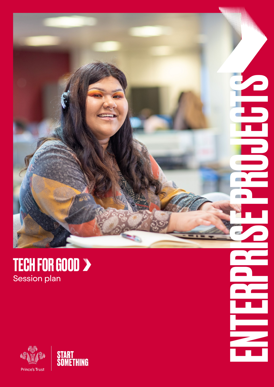

### TECH FOR GOOD Session plan



 $\Box$ **CHECK**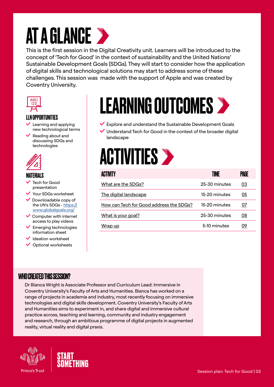## **AT A GLANCE >**

This is the first session in the Digital Creativity unit. Learners will be introduced to the concept of 'Tech for Good' in the context of sustainability and the United Nations' Sustainable Development Goals (SDGs). They will start to consider how the application of digital skills and technological solutions may start to address some of these challenges. This session was made with the support of Apple and was created by Coventry University.



#### LLN OPPORTUNITIES

- Learning and applying new technological terms
- $\blacktriangleright$  Reading about and discussing SDGs and technologies



#### MATERIALS

- Tech for Good presentation
- Your SDGs worksheet
- Downloadable copy of the UN's SDGs - [https://](https://www.globalgoals.org/ ttps://www.globalgoals) [www.globalgoals.org/](https://www.globalgoals.org/ ttps://www.globalgoals)
- $\vee$  Computer with internet access to play videos
- Emerging technologies information sheet
- **/** Ideation worksheet
- $\vee$  Optional worksheets

# LEARNING OUTCOMES

- $\vee$  Explore and understand the Sustainable Development Goals
- Understand Tech for Good in the context of the broader digital landscape



| <b>ACTIVITY</b>                         | TIMF          | PAGE |
|-----------------------------------------|---------------|------|
| What are the SDGs?                      | 25-30 minutes | 03   |
| The digital landscape                   | 15-20 minutes | 05   |
| How can Tech for Good address the SDGs? | 15-20 minutes | 07   |
| What is your goal?                      | 25-30 minutes | 08   |
| Wrap up                                 | 5-10 minutes  | 09   |

#### WHO CREATED THIS SESSION?

Dr Bianca Wright is Associate Professor and Curriculum Lead: Immersive in Coventry University's Faculty of Arts and Humanities. Bianca has worked on a range of projects in academia and industry, most recently focusing on immersive technologies and digital skills development. Coventry University's Faculty of Arts and Humanities aims to experiment in, and share digital and immersive cultural practice across, teaching and learning, community and industry engagement and research, through an ambitious programme of digital projects in augmented reality, virtual reality and digital praxis.



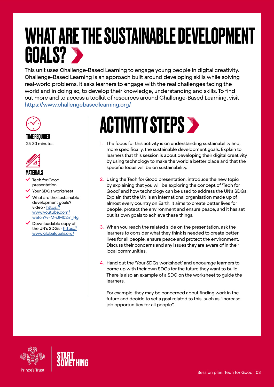### <span id="page-2-0"></span>WHAT ARE THE SUSTAINABLE DEVELOPMENT GOALS?

This unit uses Challenge-Based Learning to engage young people in digital creativity. Challenge-Based Learning is an approach built around developing skills while solving real-world problems. It asks learners to engage with the real challenges facing the world and in doing so, to develop their knowledge, understanding and skills. To find out more and to access a toolkit of resources around Challenge-Based Learning, visit <https://www.challengebasedlearning.org/>



TIME REQUIRED 25-30 minutes



#### **MATERIALS**

- Tech for Good presentation
- Your SDGs worksheet
- $\checkmark$  What are the sustainable development goals? video - [https://](https://www.youtube.com/watch?v=M-iJM02m_Hg) [www.youtube.com/](https://www.youtube.com/watch?v=M-iJM02m_Hg) [watch?v=M-iJM02m\\_Hg](https://www.youtube.com/watch?v=M-iJM02m_Hg)
- Downloadable copy of the UN's SDGs - [https://](https://www.globalgoals.org/ ttps://www.globalgoals) [www.globalgoals.org/](https://www.globalgoals.org/ ttps://www.globalgoals)

## **ACTIVITY STEPS >**

- 1. The focus for this activity is on understanding sustainability and, more specifically, the sustainable development goals. Explain to learners that this session is about developing their digital creativity by using technology to make the world a better place and that the specific focus will be on sustainability.
- 2. Using the Tech for Good presentation, introduce the new topic by explaining that you will be exploring the concept of 'Tech for Good' and how technology can be used to address the UN's SDGs. Explain that the UN is an international organisation made up of almost every country on Earth. It aims to create better lives for people, protect the environment and ensure peace, and it has set out its own goals to achieve these things.
- 3. When you reach the related slide on the presentation, ask the learners to consider what they think is needed to create better lives for all people, ensure peace and protect the environment. Discuss their concerns and any issues they are aware of in their local communities.
- 4. Hand out the 'Your SDGs worksheet' and encourage learners to come up with their own SDGs for the future they want to build. There is also an example of a SDG on the worksheet to guide the learners.

For example, they may be concerned about finding work in the future and decide to set a goal related to this, such as "increase job opportunities for all people".



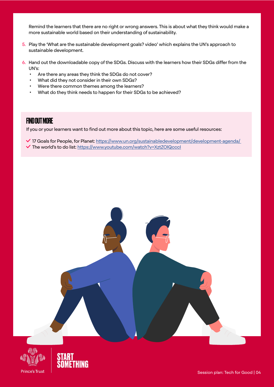Remind the learners that there are no right or wrong answers. This is about what they think would make a more sustainable world based on their understanding of sustainability.

- 5. Play the 'What are the sustainable development goals? video' which explains the UN's approach to sustainable development.
- 6. Hand out the downloadable copy of the SDGs. Discuss with the learners how their SDGs differ from the UN's:
	- Are there any areas they think the SDGs do not cover?
	- What did they not consider in their own SDGs?
	- Were there common themes among the learners?
	- What do they think needs to happen for their SDGs to be achieved?

#### FIND OUT MORE

If you or your learners want to find out more about this topic, here are some useful resources:

◆ 17 Goals for People, for Planet: https://www.un.org/sustainabledevelopment/development-agenda/ The world's to do list: [https://www.youtube.com/watch?v=XztZOlQcccI](https://www.youtube.com/watch?v=XztZOlQcccI )





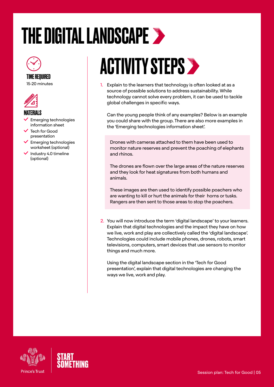# <span id="page-4-0"></span>THE DIGITAL LANDSCAPE >



#### TIME REQUIRED

15-20 minutes



#### MATERIALS

- Emerging technologies information sheet
- Tech for Good presentation
- Emerging technologies worksheet (optional)
- $\vee$  Industry 4.0 timeline (optional)

## ACTIVITY STEPS >

1. Explain to the learners that technology is often looked at as a source of possible solutions to address sustainability. While technology cannot solve every problem, it can be used to tackle global challenges in specific ways.

Can the young people think of any examples? Below is an example you could share with the group. There are also more examples in the 'Emerging technologies information sheet'.

Drones with cameras attached to them have been used to monitor nature reserves and prevent the poaching of elephants and rhinos.

The drones are flown over the large areas of the nature reserves and they look for heat signatures from both humans and animals.

These images are then used to identify possible poachers who are wanting to kill or hurt the animals for their horns or tusk[s](https://www.youtube.com/watch?v=XztZOlQcccI ). Rangers are then sent to those areas to stop the poachers.

2. You will now introduce the term 'digital landscape' to your learners. Explain that digital technologies and the impact they have on how we live, work and play are collectively called the 'digital landscape'. Technologies could include mobile phones, drones, robots, smart televisions, computers, smart devices that use sensors to monitor things and much more.

Using the digital landscape section in the 'Tech for Good presentation', explain that digital technologies are changing the ways we live, work and play.



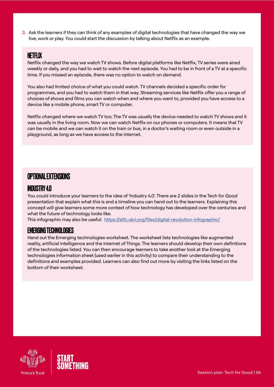3. Ask the learners if they can think of any examples of digital technologies that have changed the way we live, work or play. You could start the discussion by talking about Netflix as an example.

#### NETFLIX

Netflix changed the way we watch TV shows. Before digital platforms like Netflix, TV series were aired weekly or daily, and you had to wait to watch the next episode. You had to be in front of a TV at a specific time. If you missed an episode, there was no option to watch on demand.

You also had limited choice of what you could watch. TV channels decided a specific order for programmes, and you had to watch them in that way. Streaming services like Netflix offer you a range of choices of shows and films you can watch when and where you want to, provided you have access to a device like a mobile phone, smart TV or computer.

Netflix changed where we watch TV too. The TV was usually the device needed to watch TV shows and it was usually in the living room. Now we can watch Netflix on our phones or computers. It means that TV can be mobile and we can watch it on the train or bus, [i](https://www.youtube.com/watch?v=XztZOlQcccI )n a doctor's waiting room or even outside in a playground, as long as we have access to the internet.

#### OPTIONAL EXTENSIONS

#### INDUSTRY 4.0

You could introduce your learners to the idea of 'Industry 4.0'. There are 2 slides in the Tech for Good presentation that explain what this is and a timeline you can hand out to the learners. Explaining this concept will give learners some more context of how technology has developed over the centuries and what the future of technology looks like.

This infographic may also be useful: <https://stfc.ukri.org/files/digital-revolution-infographic/>

#### EMERGING TECHNOLOGIES

Hand out the Emerging technologies worksheet. The worksheet lists technologies like augmented reality, artificial intelligence and the Internet of Things. The learners should develop their own definitions of the technologies listed. You can then encourage learners to take another look at the Emerging technologies information sheet (used earlier in this activity) to compare their understanding to the definitions and examples p[r](https://www.youtube.com/watch?v=XztZOlQcccI )ovided. Learners can also find out more by visiting the links listed on the bottom of their worksheet.



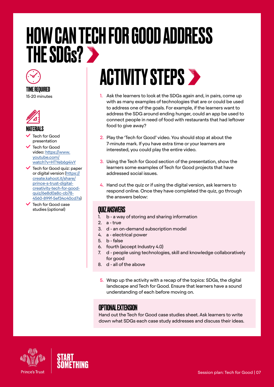### <span id="page-6-0"></span>HOW CAN TECH FOR GOOD ADDRESS **THE SDGs? >>**



#### TIME REQUIRED

15-20 minutes



#### **MATFRIALS**

- Tech for Good presentation
- Tech for Good video: [https://www.](https://www.youtube.com/watch?v=HTYeb6g4ivY) [youtube.com/](https://www.youtube.com/watch?v=HTYeb6g4ivY) [watch?v=HTYeb6g4ivY](https://www.youtube.com/watch?v=HTYeb6g4ivY)
- $\checkmark$  Tech for Good quiz: paper or digital version ([https://](https://create.kahoot.it/share/prince-s-trust-digital-creativity-tech-for-good-quiz/6e8d0a8c-cb78-4560-899f-5ef34c40cd7a) [create.kahoot.it/share/](https://create.kahoot.it/share/prince-s-trust-digital-creativity-tech-for-good-quiz/6e8d0a8c-cb78-4560-899f-5ef34c40cd7a) [prince-s-trust-digital](https://create.kahoot.it/share/prince-s-trust-digital-creativity-tech-for-good-quiz/6e8d0a8c-cb78-4560-899f-5ef34c40cd7a)[creativity-tech-for-good](https://create.kahoot.it/share/prince-s-trust-digital-creativity-tech-for-good-quiz/6e8d0a8c-cb78-4560-899f-5ef34c40cd7a)[quiz/6e8d0a8c-cb78-](https://create.kahoot.it/share/prince-s-trust-digital-creativity-tech-for-good-quiz/6e8d0a8c-cb78-4560-899f-5ef34c40cd7a) [4560-899f-5ef34c40cd7a\)](https://create.kahoot.it/share/prince-s-trust-digital-creativity-tech-for-good-quiz/6e8d0a8c-cb78-4560-899f-5ef34c40cd7a)
- Tech for Good case studies (optional) **QUIZ ANSWERS**

## **ACTIVITY STEPS >**

- 1. Ask the learners to look at the SDGs again and, in pairs, come up with as many examples of technologies that are or could be used to address one of the goals. For example, if the learners want to address the SDG around ending hunger, could an app be used to connect people in need of food with restaurants that had leftover food to give away?
- 2. Play the 'Tech for Good' video. You should stop at about the 7-minute mark. If you have extra time or your learners are interested, you could play the entire video.
- 3. Using the Tech for Good section of the presentation, show the learners some examples of Tech for Good projects that have addressed social issues.
- 4. Hand out the quiz or if using the digital version, ask learners to respond online. Once they have completed the quiz, go through the answers below:

- 1. b a way of storing and sharing information
- 2. a true
- 3. d an on-demand subscription model
- 4. a electrical power
- 5. b false
- 6. fourth (accept Industry 4.0)
- 7. d people using technologies, skill and knowledge collaboratively for good
- 8. d all of the above
- 5. Wrap up the activity with a recap of the topics: SDGs, the digital landscape and Tech for Good. Ensure that learners have a sound understanding of each before moving on.

#### OPTIONAL EXTENSION

Hand out the Tech for Good case studies sheet. Ask learners to write down what SDGs each case study addresses and discuss their ideas.



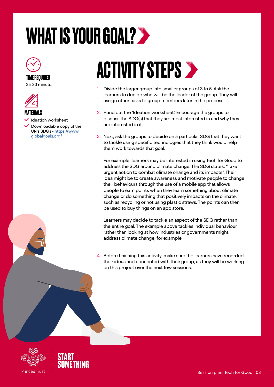## <span id="page-7-0"></span>WHAT IS YOUR GOAL?



#### TIME REQUIRED 25-30 minutes



#### MATERIALS

- Ideation worksheet
- Downloadable copy of the UN's SDGs - [https://www.](https://www.globalgoals.org/ ttps://www.globalgoals) [globalgoals.org/](https://www.globalgoals.org/ ttps://www.globalgoals)



# **ACTIVITY STEPS >**

- 1. Divide the larger group into smaller groups of 3 to 5. Ask the learners to decide who will be the leader of the group. They will assign other tasks to group members later in the process.
- 2. Hand out the 'Ideation worksheet'. Encourage the groups to discuss the SDG(s) that they are most interested in and why they are interested in it.
- 3. Next, ask the groups to decide on a particular SDG that they want to tackle using specific technologies that they think would help them work towards that goal.

For example, learners may be interested in using Tech for Good to address the SDG around climate change. The SDG states: "Take urgent action to combat climate change and its impacts". Their idea might be to create awareness and motivate people to change their behaviours through the use of a mobile app that allows people to earn points when they learn something about climate change or do something that positively impacts on the climate, such as recycling or not using plastic straws. The points can then be used to buy things on an app store.

Learners may decide to tackle an aspect of the SDG rather than the entire goal. The example above tackles individual behaviour rather than looking at how industries or governments might address climate change, for example.

4. Before finishing this activity, make sure the learners have recorded their ideas and connected with their group, as they will be working on this project over the next few sessions.